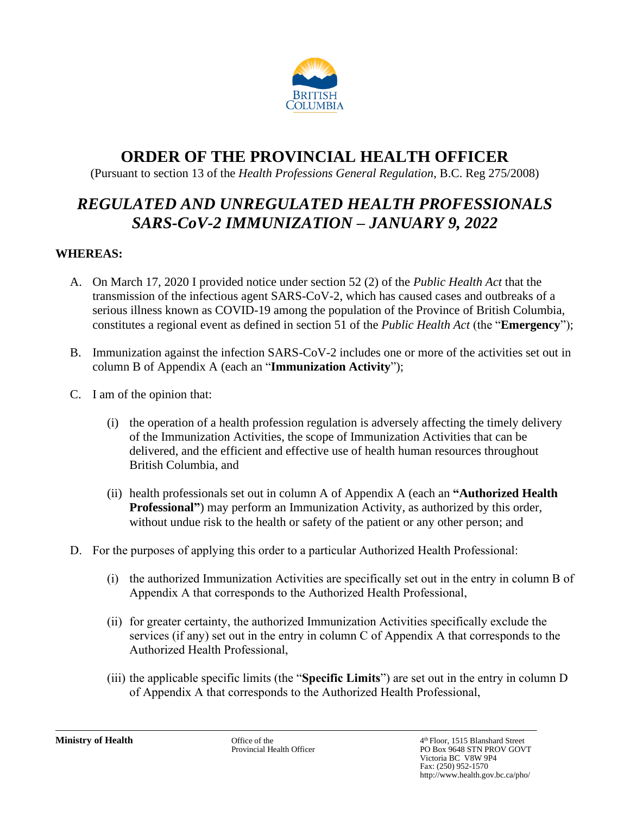

# **ORDER OF THE PROVINCIAL HEALTH OFFICER**

(Pursuant to section 13 of the *Health Professions General Regulation*, B.C. Reg 275/2008)

# *REGULATED AND UNREGULATED HEALTH PROFESSIONALS SARS-CoV-2 IMMUNIZATION – JANUARY 9, 2022*

### **WHEREAS:**

- A. On March 17, 2020 I provided notice under section 52 (2) of the *Public Health Act* that the transmission of the infectious agent SARS-CoV-2, which has caused cases and outbreaks of a serious illness known as COVID-19 among the population of the Province of British Columbia, constitutes a regional event as defined in section 51 of the *Public Health Act* (the "**Emergency**");
- B. Immunization against the infection SARS-CoV-2 includes one or more of the activities set out in column B of Appendix A (each an "**Immunization Activity**");
- C. I am of the opinion that:
	- (i) the operation of a health profession regulation is adversely affecting the timely delivery of the Immunization Activities, the scope of Immunization Activities that can be delivered, and the efficient and effective use of health human resources throughout British Columbia, and
	- (ii) health professionals set out in column A of Appendix A (each an **"Authorized Health Professional**") may perform an Immunization Activity, as authorized by this order, without undue risk to the health or safety of the patient or any other person; and
- D. For the purposes of applying this order to a particular Authorized Health Professional:
	- (i) the authorized Immunization Activities are specifically set out in the entry in column B of Appendix A that corresponds to the Authorized Health Professional,
	- (ii) for greater certainty, the authorized Immunization Activities specifically exclude the services (if any) set out in the entry in column C of Appendix A that corresponds to the Authorized Health Professional,
	- (iii) the applicable specific limits (the "**Specific Limits**") are set out in the entry in column D of Appendix A that corresponds to the Authorized Health Professional,

**Ministry of Health** Office of the 4 Office of the 4 Officer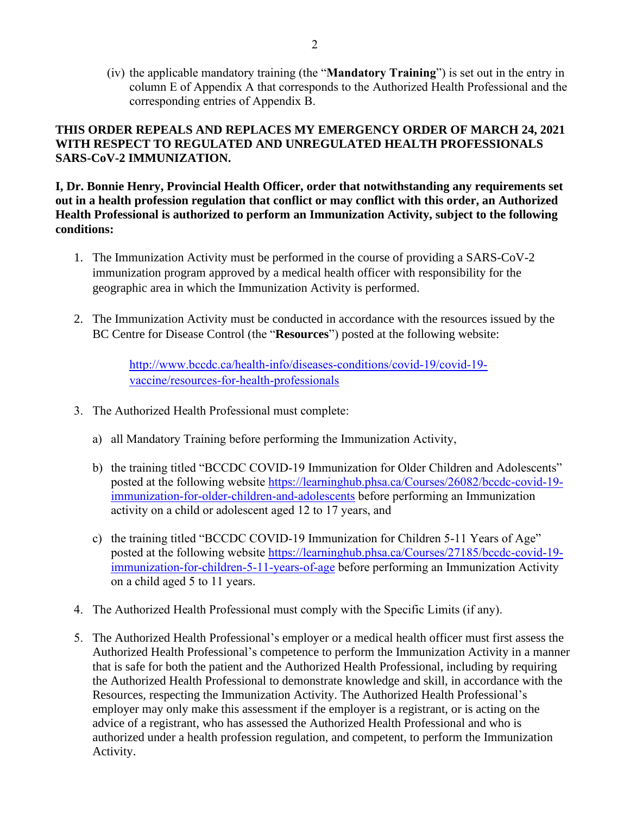(iv) the applicable mandatory training (the "**Mandatory Training**") is set out in the entry in column E of Appendix A that corresponds to the Authorized Health Professional and the corresponding entries of Appendix B.

#### **THIS ORDER REPEALS AND REPLACES MY EMERGENCY ORDER OF MARCH 24, 2021 WITH RESPECT TO REGULATED AND UNREGULATED HEALTH PROFESSIONALS SARS-CoV-2 IMMUNIZATION.**

**I, Dr. Bonnie Henry, Provincial Health Officer, order that notwithstanding any requirements set out in a health profession regulation that conflict or may conflict with this order, an Authorized Health Professional is authorized to perform an Immunization Activity, subject to the following conditions:**

- 1. The Immunization Activity must be performed in the course of providing a SARS-CoV-2 immunization program approved by a medical health officer with responsibility for the geographic area in which the Immunization Activity is performed.
- 2. The Immunization Activity must be conducted in accordance with the resources issued by the BC Centre for Disease Control (the "**Resources**") posted at the following website:

[http://www.bccdc.ca/health-info/diseases-conditions/covid-19/covid-19](http://www.bccdc.ca/health-info/diseases-conditions/covid-19/covid-19-vaccine/resources-for-health-professionals) [vaccine/resources-for-health-professionals](http://www.bccdc.ca/health-info/diseases-conditions/covid-19/covid-19-vaccine/resources-for-health-professionals)

- 3. The Authorized Health Professional must complete:
	- a) all Mandatory Training before performing the Immunization Activity,
	- b) the training titled "BCCDC COVID-19 Immunization for Older Children and Adolescents" posted at the following website [https://learninghub.phsa.ca/Courses/26082/bccdc-covid-19](https://learninghub.phsa.ca/Courses/26082/bccdc-covid-19-immunization-for-older-children-and-adolescents) [immunization-for-older-children-and-adolescents](https://learninghub.phsa.ca/Courses/26082/bccdc-covid-19-immunization-for-older-children-and-adolescents) before performing an Immunization activity on a child or adolescent aged 12 to 17 years, and
	- c) the training titled "BCCDC COVID-19 Immunization for Children 5-11 Years of Age" posted at the following website [https://learninghub.phsa.ca/Courses/27185/bccdc-covid-19](https://learninghub.phsa.ca/Courses/27185/bccdc-covid-19-immunization-for-children-5-11-years-of-age) [immunization-for-children-5-11-years-of-age](https://learninghub.phsa.ca/Courses/27185/bccdc-covid-19-immunization-for-children-5-11-years-of-age) before performing an Immunization Activity on a child aged 5 to 11 years.
- 4. The Authorized Health Professional must comply with the Specific Limits (if any).
- 5. The Authorized Health Professional's employer or a medical health officer must first assess the Authorized Health Professional's competence to perform the Immunization Activity in a manner that is safe for both the patient and the Authorized Health Professional, including by requiring the Authorized Health Professional to demonstrate knowledge and skill, in accordance with the Resources, respecting the Immunization Activity. The Authorized Health Professional's employer may only make this assessment if the employer is a registrant, or is acting on the advice of a registrant, who has assessed the Authorized Health Professional and who is authorized under a health profession regulation, and competent, to perform the Immunization Activity.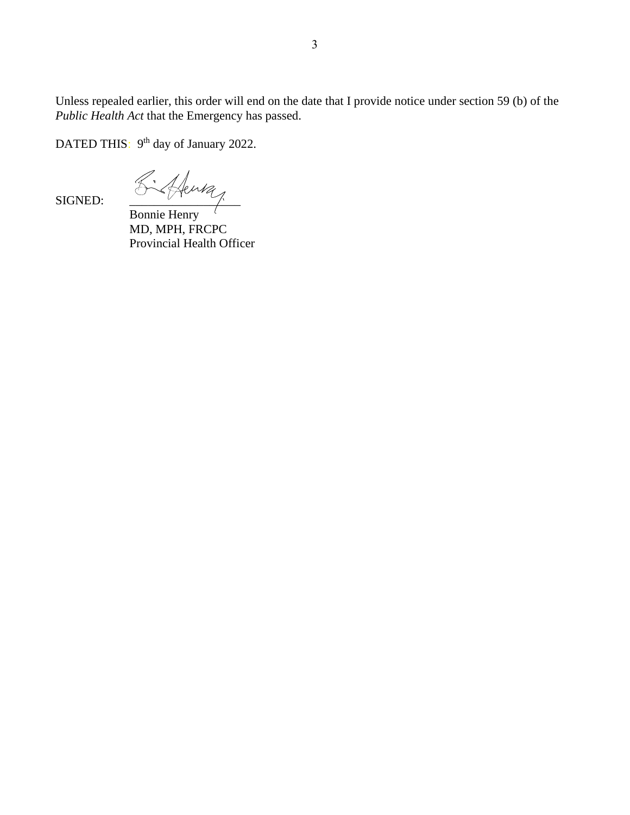Unless repealed earlier, this order will end on the date that I provide notice under section 59 (b) of the *Public Health Act* that the Emergency has passed.

DATED THIS: 9<sup>th</sup> day of January 2022.

SIGNED:  $\frac{\sigma^2\sqrt{4\mu\mu}}{2\pi\sin\frac{\mu}{2}}$ 

Bonnie Henry MD, MPH, FRCPC Provincial Health Officer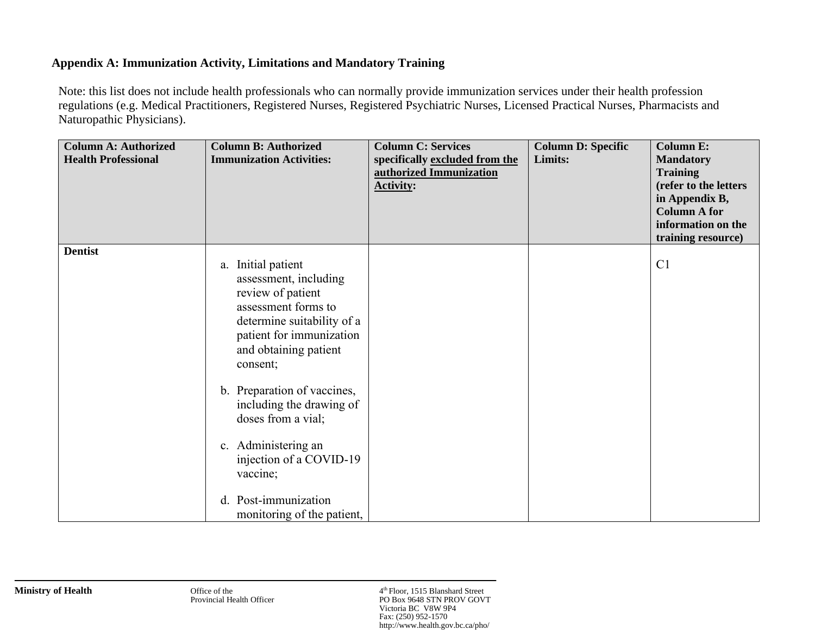### **Appendix A: Immunization Activity, Limitations and Mandatory Training**

Note: this list does not include health professionals who can normally provide immunization services under their health profession regulations (e.g. Medical Practitioners, Registered Nurses, Registered Psychiatric Nurses, Licensed Practical Nurses, Pharmacists and Naturopathic Physicians).

| <b>Column A: Authorized</b><br><b>Health Professional</b> | <b>Column B: Authorized</b><br><b>Immunization Activities:</b>                                                                                                                                                                                    | <b>Column C: Services</b><br>specifically excluded from the<br>authorized Immunization<br><b>Activity:</b> | <b>Column D: Specific</b><br>Limits: | <b>Column E:</b><br><b>Mandatory</b><br><b>Training</b><br>(refer to the letters<br>in Appendix B,<br><b>Column A for</b><br>information on the<br>training resource) |
|-----------------------------------------------------------|---------------------------------------------------------------------------------------------------------------------------------------------------------------------------------------------------------------------------------------------------|------------------------------------------------------------------------------------------------------------|--------------------------------------|-----------------------------------------------------------------------------------------------------------------------------------------------------------------------|
| <b>Dentist</b>                                            | a. Initial patient<br>assessment, including<br>review of patient<br>assessment forms to<br>determine suitability of a<br>patient for immunization<br>and obtaining patient<br>consent;<br>b. Preparation of vaccines,<br>including the drawing of |                                                                                                            |                                      | C <sub>1</sub>                                                                                                                                                        |
|                                                           | doses from a vial;<br>c. Administering an<br>injection of a COVID-19<br>vaccine;<br>d. Post-immunization<br>monitoring of the patient,                                                                                                            |                                                                                                            |                                      |                                                                                                                                                                       |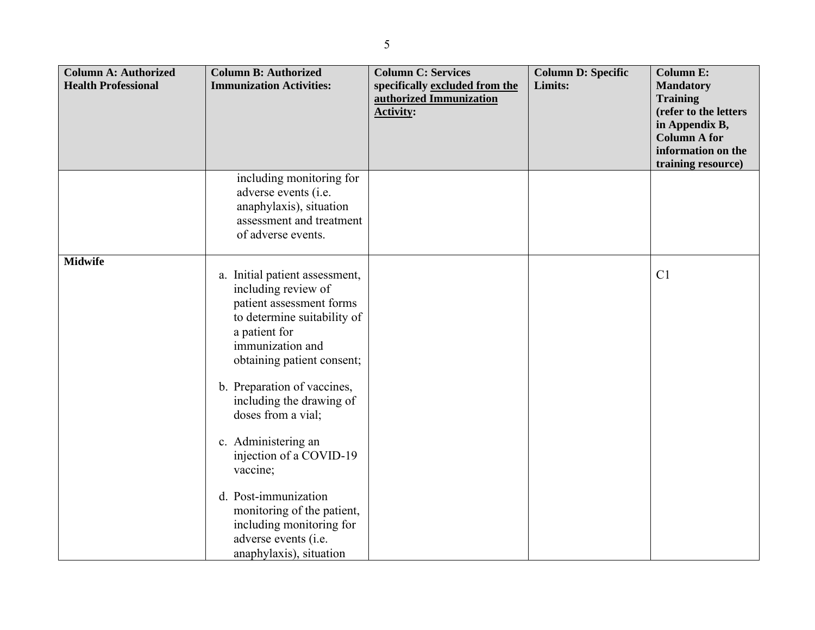| <b>Column A: Authorized</b> | <b>Column B: Authorized</b>                                                                                                                                                                                                                                          | <b>Column C: Services</b>                                                     | <b>Column D: Specific</b> | <b>Column E:</b>                                             |
|-----------------------------|----------------------------------------------------------------------------------------------------------------------------------------------------------------------------------------------------------------------------------------------------------------------|-------------------------------------------------------------------------------|---------------------------|--------------------------------------------------------------|
| <b>Health Professional</b>  | <b>Immunization Activities:</b>                                                                                                                                                                                                                                      | specifically excluded from the<br>authorized Immunization<br><b>Activity:</b> | Limits:                   | <b>Mandatory</b><br><b>Training</b><br>(refer to the letters |
|                             |                                                                                                                                                                                                                                                                      |                                                                               |                           | in Appendix B,                                               |
|                             |                                                                                                                                                                                                                                                                      |                                                                               |                           | <b>Column A for</b>                                          |
|                             |                                                                                                                                                                                                                                                                      |                                                                               |                           | information on the<br>training resource)                     |
|                             | including monitoring for<br>adverse events (i.e.                                                                                                                                                                                                                     |                                                                               |                           |                                                              |
|                             | anaphylaxis), situation                                                                                                                                                                                                                                              |                                                                               |                           |                                                              |
|                             | assessment and treatment                                                                                                                                                                                                                                             |                                                                               |                           |                                                              |
|                             | of adverse events.                                                                                                                                                                                                                                                   |                                                                               |                           |                                                              |
| <b>Midwife</b>              |                                                                                                                                                                                                                                                                      |                                                                               |                           |                                                              |
|                             | a. Initial patient assessment,<br>including review of<br>patient assessment forms<br>to determine suitability of<br>a patient for<br>immunization and<br>obtaining patient consent;<br>b. Preparation of vaccines,<br>including the drawing of<br>doses from a vial; |                                                                               |                           | C <sub>1</sub>                                               |
|                             | c. Administering an<br>injection of a COVID-19<br>vaccine;                                                                                                                                                                                                           |                                                                               |                           |                                                              |
|                             | d. Post-immunization<br>monitoring of the patient,<br>including monitoring for<br>adverse events (i.e.<br>anaphylaxis), situation                                                                                                                                    |                                                                               |                           |                                                              |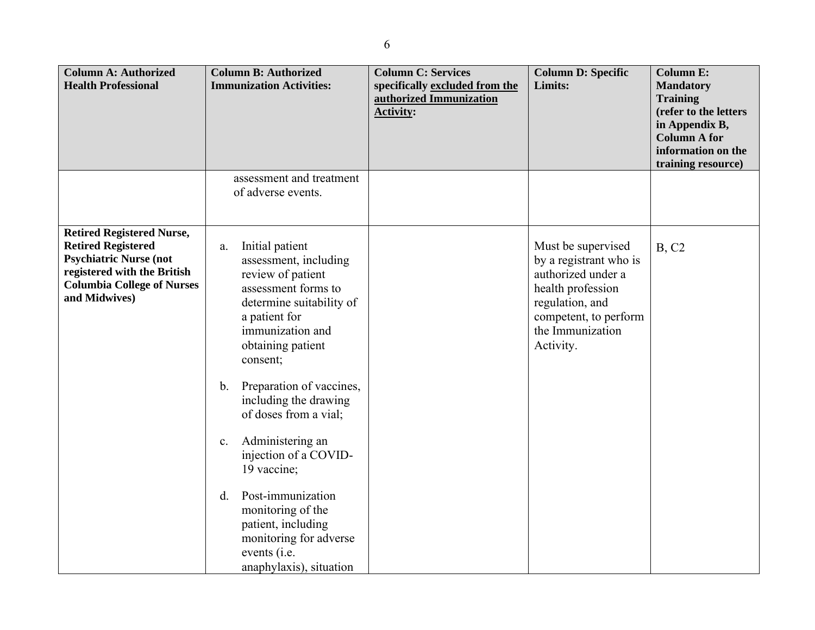| <b>Column A: Authorized</b><br><b>Health Professional</b>                                                                                                                           | <b>Column B: Authorized</b><br><b>Immunization Activities:</b>                                                                                                                                                                                                                                                                                                                                                                                                                                           | <b>Column C: Services</b><br>specifically excluded from the<br>authorized Immunization<br><b>Activity:</b> | <b>Column D: Specific</b><br>Limits:                                                                                                                                 | <b>Column E:</b><br><b>Mandatory</b><br><b>Training</b><br>(refer to the letters<br>in Appendix B,<br><b>Column A for</b><br>information on the |
|-------------------------------------------------------------------------------------------------------------------------------------------------------------------------------------|----------------------------------------------------------------------------------------------------------------------------------------------------------------------------------------------------------------------------------------------------------------------------------------------------------------------------------------------------------------------------------------------------------------------------------------------------------------------------------------------------------|------------------------------------------------------------------------------------------------------------|----------------------------------------------------------------------------------------------------------------------------------------------------------------------|-------------------------------------------------------------------------------------------------------------------------------------------------|
|                                                                                                                                                                                     | assessment and treatment<br>of adverse events.                                                                                                                                                                                                                                                                                                                                                                                                                                                           |                                                                                                            |                                                                                                                                                                      | training resource)                                                                                                                              |
| <b>Retired Registered Nurse,</b><br><b>Retired Registered</b><br><b>Psychiatric Nurse (not</b><br>registered with the British<br><b>Columbia College of Nurses</b><br>and Midwives) | Initial patient<br>a.<br>assessment, including<br>review of patient<br>assessment forms to<br>determine suitability of<br>a patient for<br>immunization and<br>obtaining patient<br>consent;<br>Preparation of vaccines,<br>$\mathbf b$ .<br>including the drawing<br>of doses from a vial;<br>Administering an<br>c.<br>injection of a COVID-<br>19 vaccine;<br>Post-immunization<br>d.<br>monitoring of the<br>patient, including<br>monitoring for adverse<br>events (i.e.<br>anaphylaxis), situation |                                                                                                            | Must be supervised<br>by a registrant who is<br>authorized under a<br>health profession<br>regulation, and<br>competent, to perform<br>the Immunization<br>Activity. | B, C2                                                                                                                                           |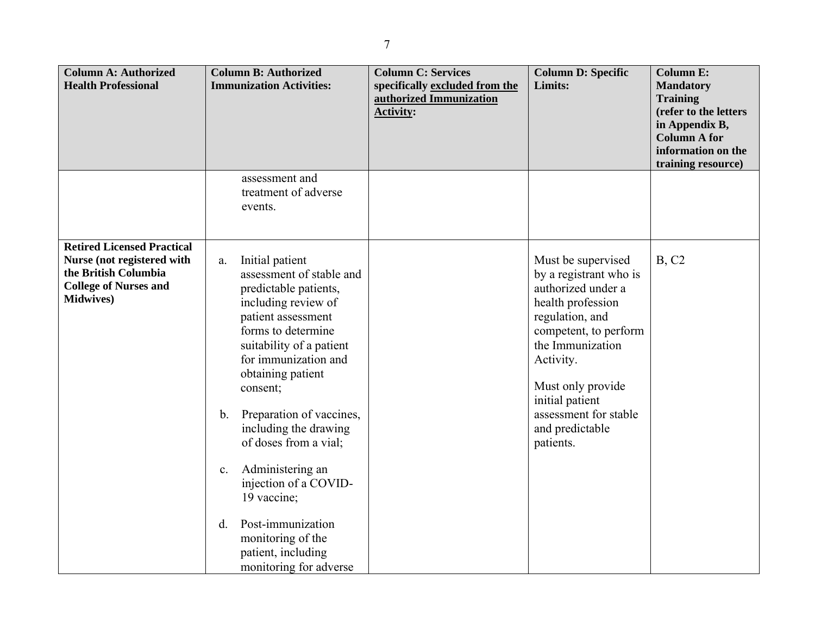| <b>Column A: Authorized</b><br><b>Health Professional</b>                                                                                    | <b>Column B: Authorized</b><br><b>Immunization Activities:</b>                                                                                                                                                                                                                                                                                                                                                                                                                                                 | <b>Column C: Services</b><br>specifically excluded from the<br>authorized Immunization<br><b>Activity:</b> | <b>Column D: Specific</b><br>Limits:                                                                                                                                                                                                                                  | <b>Column E:</b><br><b>Mandatory</b><br><b>Training</b><br>(refer to the letters<br>in Appendix B,<br><b>Column A for</b><br>information on the |
|----------------------------------------------------------------------------------------------------------------------------------------------|----------------------------------------------------------------------------------------------------------------------------------------------------------------------------------------------------------------------------------------------------------------------------------------------------------------------------------------------------------------------------------------------------------------------------------------------------------------------------------------------------------------|------------------------------------------------------------------------------------------------------------|-----------------------------------------------------------------------------------------------------------------------------------------------------------------------------------------------------------------------------------------------------------------------|-------------------------------------------------------------------------------------------------------------------------------------------------|
|                                                                                                                                              | assessment and<br>treatment of adverse<br>events.                                                                                                                                                                                                                                                                                                                                                                                                                                                              |                                                                                                            |                                                                                                                                                                                                                                                                       | training resource)                                                                                                                              |
| <b>Retired Licensed Practical</b><br>Nurse (not registered with<br>the British Columbia<br><b>College of Nurses and</b><br><b>Midwives</b> ) | Initial patient<br>a.<br>assessment of stable and<br>predictable patients,<br>including review of<br>patient assessment<br>forms to determine<br>suitability of a patient<br>for immunization and<br>obtaining patient<br>consent;<br>Preparation of vaccines,<br>$\mathbf b$ .<br>including the drawing<br>of doses from a vial;<br>Administering an<br>$\mathbf{c}.$<br>injection of a COVID-<br>19 vaccine;<br>Post-immunization<br>d.<br>monitoring of the<br>patient, including<br>monitoring for adverse |                                                                                                            | Must be supervised<br>by a registrant who is<br>authorized under a<br>health profession<br>regulation, and<br>competent, to perform<br>the Immunization<br>Activity.<br>Must only provide<br>initial patient<br>assessment for stable<br>and predictable<br>patients. | B, C2                                                                                                                                           |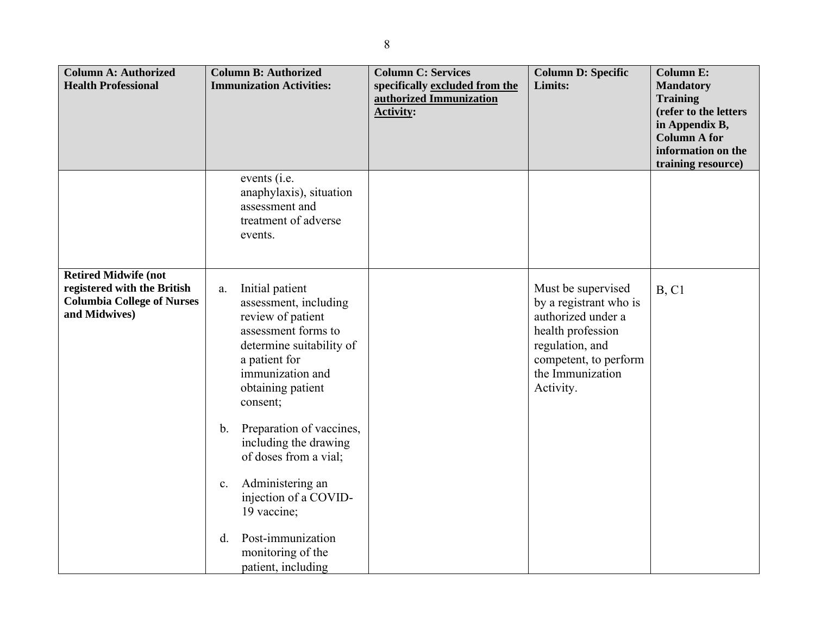| <b>Column A: Authorized</b><br><b>Health Professional</b>                                                        | <b>Column B: Authorized</b><br><b>Immunization Activities:</b>                                                                                                                               | <b>Column C: Services</b><br>specifically excluded from the<br>authorized Immunization<br><b>Activity:</b> | <b>Column D: Specific</b><br>Limits:                                                                                                                                 | <b>Column E:</b><br><b>Mandatory</b><br><b>Training</b><br>(refer to the letters<br>in Appendix B,<br><b>Column A for</b><br>information on the<br>training resource) |
|------------------------------------------------------------------------------------------------------------------|----------------------------------------------------------------------------------------------------------------------------------------------------------------------------------------------|------------------------------------------------------------------------------------------------------------|----------------------------------------------------------------------------------------------------------------------------------------------------------------------|-----------------------------------------------------------------------------------------------------------------------------------------------------------------------|
|                                                                                                                  | events ( <i>i.e.</i><br>anaphylaxis), situation<br>assessment and<br>treatment of adverse<br>events.                                                                                         |                                                                                                            |                                                                                                                                                                      |                                                                                                                                                                       |
| <b>Retired Midwife (not</b><br>registered with the British<br><b>Columbia College of Nurses</b><br>and Midwives) | Initial patient<br>a.<br>assessment, including<br>review of patient<br>assessment forms to<br>determine suitability of<br>a patient for<br>immunization and<br>obtaining patient<br>consent; |                                                                                                            | Must be supervised<br>by a registrant who is<br>authorized under a<br>health profession<br>regulation, and<br>competent, to perform<br>the Immunization<br>Activity. | B, C1                                                                                                                                                                 |
|                                                                                                                  | Preparation of vaccines,<br>$\mathbf b$ .<br>including the drawing<br>of doses from a vial;                                                                                                  |                                                                                                            |                                                                                                                                                                      |                                                                                                                                                                       |
|                                                                                                                  | Administering an<br>c.<br>injection of a COVID-<br>19 vaccine;                                                                                                                               |                                                                                                            |                                                                                                                                                                      |                                                                                                                                                                       |
|                                                                                                                  | Post-immunization<br>d.<br>monitoring of the<br>patient, including                                                                                                                           |                                                                                                            |                                                                                                                                                                      |                                                                                                                                                                       |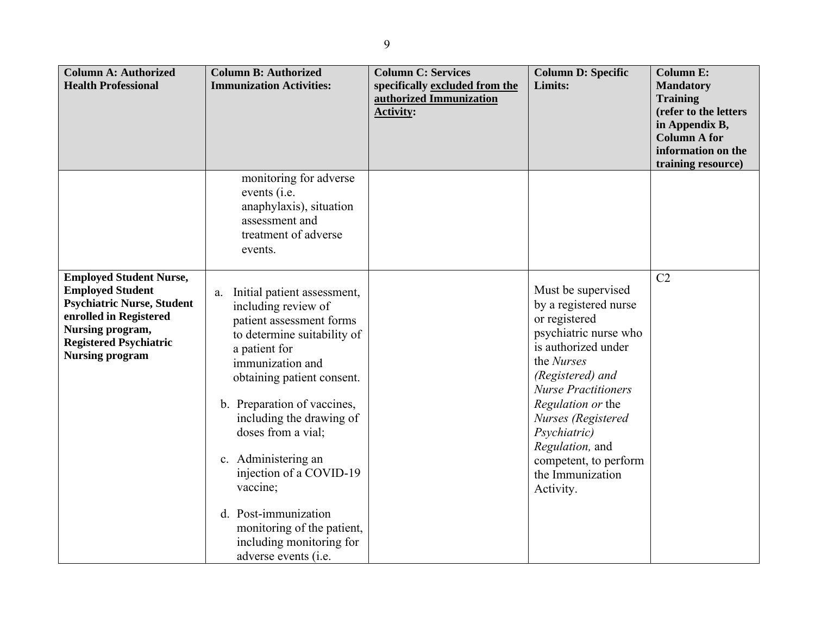| <b>Column A: Authorized</b><br><b>Health Professional</b>                                                                                                                                               | <b>Column B: Authorized</b><br><b>Immunization Activities:</b>                                                                                                                                                                                                                                                                                                                                                                                  | <b>Column C: Services</b><br>specifically excluded from the<br>authorized Immunization<br><b>Activity:</b> | <b>Column D: Specific</b><br>Limits:                                                                                                                                                                                                                                                                                 | <b>Column E:</b><br><b>Mandatory</b><br><b>Training</b><br>(refer to the letters<br>in Appendix B,<br><b>Column A for</b><br>information on the |
|---------------------------------------------------------------------------------------------------------------------------------------------------------------------------------------------------------|-------------------------------------------------------------------------------------------------------------------------------------------------------------------------------------------------------------------------------------------------------------------------------------------------------------------------------------------------------------------------------------------------------------------------------------------------|------------------------------------------------------------------------------------------------------------|----------------------------------------------------------------------------------------------------------------------------------------------------------------------------------------------------------------------------------------------------------------------------------------------------------------------|-------------------------------------------------------------------------------------------------------------------------------------------------|
|                                                                                                                                                                                                         | monitoring for adverse<br>events (i.e.<br>anaphylaxis), situation<br>assessment and<br>treatment of adverse<br>events.                                                                                                                                                                                                                                                                                                                          |                                                                                                            |                                                                                                                                                                                                                                                                                                                      | training resource)                                                                                                                              |
| <b>Employed Student Nurse,</b><br><b>Employed Student</b><br><b>Psychiatric Nurse, Student</b><br>enrolled in Registered<br>Nursing program,<br><b>Registered Psychiatric</b><br><b>Nursing program</b> | Initial patient assessment,<br>a.<br>including review of<br>patient assessment forms<br>to determine suitability of<br>a patient for<br>immunization and<br>obtaining patient consent.<br>b. Preparation of vaccines,<br>including the drawing of<br>doses from a vial;<br>c. Administering an<br>injection of a COVID-19<br>vaccine;<br>d. Post-immunization<br>monitoring of the patient,<br>including monitoring for<br>adverse events (i.e. |                                                                                                            | Must be supervised<br>by a registered nurse<br>or registered<br>psychiatric nurse who<br>is authorized under<br>the Nurses<br>(Registered) and<br><b>Nurse Practitioners</b><br>Regulation or the<br>Nurses (Registered<br>Psychiatric)<br>Regulation, and<br>competent, to perform<br>the Immunization<br>Activity. | C <sub>2</sub>                                                                                                                                  |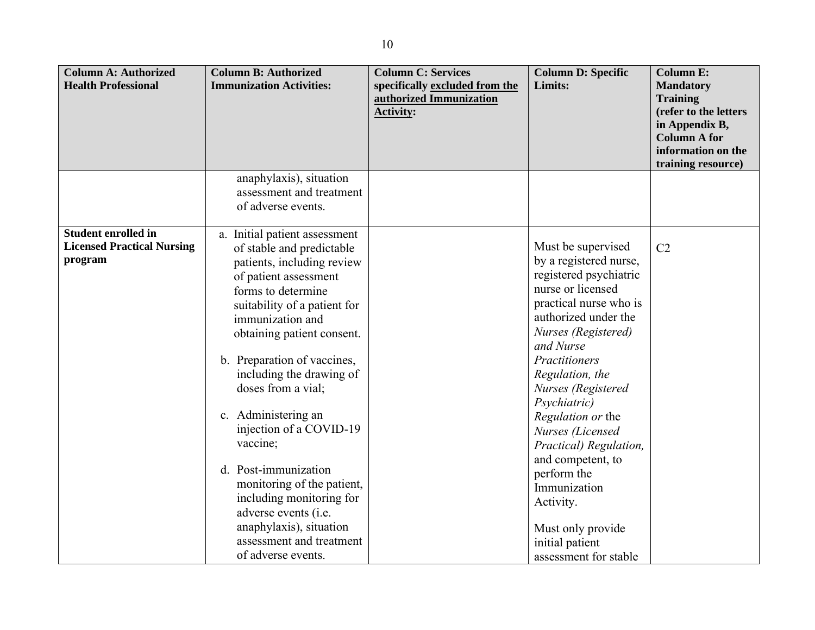| <b>Column A: Authorized</b><br><b>Health Professional</b>                  | <b>Column B: Authorized</b><br><b>Immunization Activities:</b>                                                                                                                                                                                                                                                                                                                                                                                                                        | <b>Column C: Services</b><br>specifically excluded from the<br>authorized Immunization<br><b>Activity:</b> | <b>Column D: Specific</b><br>Limits:                                                                                                                                                                                                                                                                                                                                                            | <b>Column E:</b><br><b>Mandatory</b><br><b>Training</b><br>(refer to the letters<br>in Appendix B,<br><b>Column A for</b><br>information on the |
|----------------------------------------------------------------------------|---------------------------------------------------------------------------------------------------------------------------------------------------------------------------------------------------------------------------------------------------------------------------------------------------------------------------------------------------------------------------------------------------------------------------------------------------------------------------------------|------------------------------------------------------------------------------------------------------------|-------------------------------------------------------------------------------------------------------------------------------------------------------------------------------------------------------------------------------------------------------------------------------------------------------------------------------------------------------------------------------------------------|-------------------------------------------------------------------------------------------------------------------------------------------------|
|                                                                            |                                                                                                                                                                                                                                                                                                                                                                                                                                                                                       |                                                                                                            |                                                                                                                                                                                                                                                                                                                                                                                                 | training resource)                                                                                                                              |
|                                                                            | anaphylaxis), situation<br>assessment and treatment<br>of adverse events.                                                                                                                                                                                                                                                                                                                                                                                                             |                                                                                                            |                                                                                                                                                                                                                                                                                                                                                                                                 |                                                                                                                                                 |
| <b>Student enrolled in</b><br><b>Licensed Practical Nursing</b><br>program | Initial patient assessment<br>a.<br>of stable and predictable<br>patients, including review<br>of patient assessment<br>forms to determine<br>suitability of a patient for<br>immunization and<br>obtaining patient consent.<br>b. Preparation of vaccines,<br>including the drawing of<br>doses from a vial;<br>c. Administering an<br>injection of a COVID-19<br>vaccine;<br>d. Post-immunization<br>monitoring of the patient,<br>including monitoring for<br>adverse events (i.e. |                                                                                                            | Must be supervised<br>by a registered nurse,<br>registered psychiatric<br>nurse or licensed<br>practical nurse who is<br>authorized under the<br>Nurses (Registered)<br>and Nurse<br>Practitioners<br>Regulation, the<br>Nurses (Registered<br>Psychiatric)<br>Regulation or the<br>Nurses (Licensed<br>Practical) Regulation,<br>and competent, to<br>perform the<br>Immunization<br>Activity. | C <sub>2</sub>                                                                                                                                  |
|                                                                            | anaphylaxis), situation<br>assessment and treatment<br>of adverse events.                                                                                                                                                                                                                                                                                                                                                                                                             |                                                                                                            | Must only provide<br>initial patient<br>assessment for stable                                                                                                                                                                                                                                                                                                                                   |                                                                                                                                                 |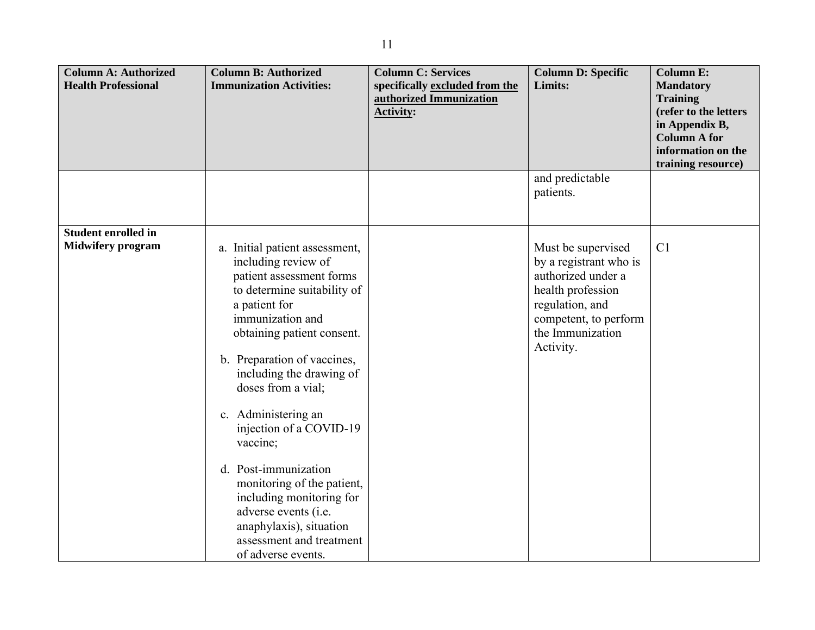| <b>Column A: Authorized</b><br><b>Health Professional</b> | <b>Column B: Authorized</b><br><b>Immunization Activities:</b>                                                                                                                                                                                                                                                                                                                                                                                                                                                            | <b>Column C: Services</b><br>specifically excluded from the | <b>Column D: Specific</b><br>Limits:                                                                                                                                 | <b>Column E:</b><br><b>Mandatory</b>                                                                                          |
|-----------------------------------------------------------|---------------------------------------------------------------------------------------------------------------------------------------------------------------------------------------------------------------------------------------------------------------------------------------------------------------------------------------------------------------------------------------------------------------------------------------------------------------------------------------------------------------------------|-------------------------------------------------------------|----------------------------------------------------------------------------------------------------------------------------------------------------------------------|-------------------------------------------------------------------------------------------------------------------------------|
|                                                           |                                                                                                                                                                                                                                                                                                                                                                                                                                                                                                                           | authorized Immunization<br><b>Activity:</b>                 |                                                                                                                                                                      | <b>Training</b><br>(refer to the letters<br>in Appendix B,<br><b>Column A for</b><br>information on the<br>training resource) |
|                                                           |                                                                                                                                                                                                                                                                                                                                                                                                                                                                                                                           |                                                             | and predictable<br>patients.                                                                                                                                         |                                                                                                                               |
| <b>Student enrolled in</b><br><b>Midwifery program</b>    | a. Initial patient assessment,<br>including review of<br>patient assessment forms<br>to determine suitability of<br>a patient for<br>immunization and<br>obtaining patient consent.<br>b. Preparation of vaccines,<br>including the drawing of<br>doses from a vial;<br>c. Administering an<br>injection of a COVID-19<br>vaccine;<br>d. Post-immunization<br>monitoring of the patient,<br>including monitoring for<br>adverse events (i.e.<br>anaphylaxis), situation<br>assessment and treatment<br>of adverse events. |                                                             | Must be supervised<br>by a registrant who is<br>authorized under a<br>health profession<br>regulation, and<br>competent, to perform<br>the Immunization<br>Activity. | C <sub>1</sub>                                                                                                                |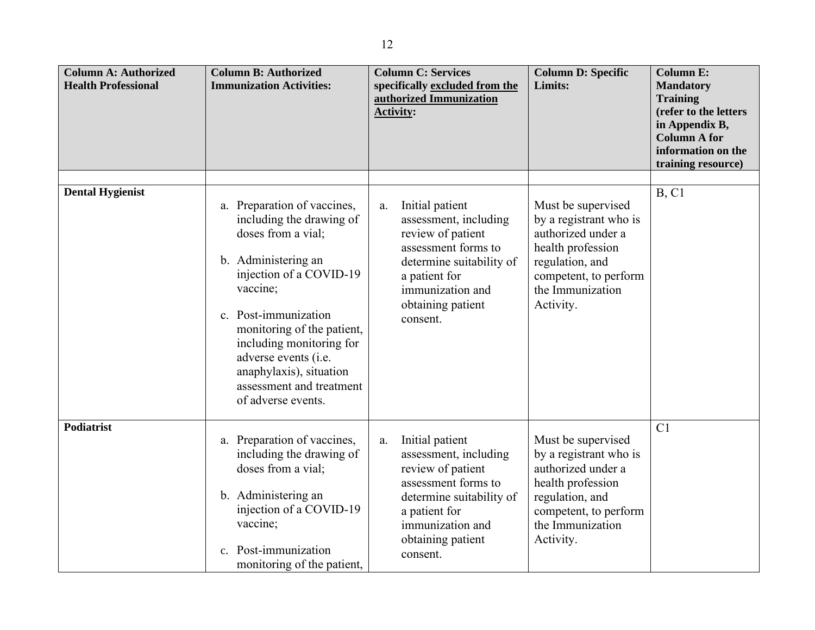| <b>Column A: Authorized</b><br><b>Health Professional</b> | <b>Column B: Authorized</b><br><b>Immunization Activities:</b>                                                                                                                                                                                                                                                                     | <b>Column C: Services</b><br>specifically excluded from the<br>authorized Immunization<br><b>Activity:</b>                                                                                   | <b>Column D: Specific</b><br>Limits:                                                                                                                                 | <b>Column E:</b><br><b>Mandatory</b><br><b>Training</b><br>(refer to the letters<br>in Appendix B,<br><b>Column A for</b><br>information on the<br>training resource) |
|-----------------------------------------------------------|------------------------------------------------------------------------------------------------------------------------------------------------------------------------------------------------------------------------------------------------------------------------------------------------------------------------------------|----------------------------------------------------------------------------------------------------------------------------------------------------------------------------------------------|----------------------------------------------------------------------------------------------------------------------------------------------------------------------|-----------------------------------------------------------------------------------------------------------------------------------------------------------------------|
| <b>Dental Hygienist</b>                                   | a. Preparation of vaccines,<br>including the drawing of<br>doses from a vial;<br>b. Administering an<br>injection of a COVID-19<br>vaccine;<br>c. Post-immunization<br>monitoring of the patient,<br>including monitoring for<br>adverse events (i.e.<br>anaphylaxis), situation<br>assessment and treatment<br>of adverse events. | Initial patient<br>a.<br>assessment, including<br>review of patient<br>assessment forms to<br>determine suitability of<br>a patient for<br>immunization and<br>obtaining patient<br>consent. | Must be supervised<br>by a registrant who is<br>authorized under a<br>health profession<br>regulation, and<br>competent, to perform<br>the Immunization<br>Activity. | B, C1                                                                                                                                                                 |
| <b>Podiatrist</b>                                         | a. Preparation of vaccines,<br>including the drawing of<br>doses from a vial;<br>b. Administering an<br>injection of a COVID-19<br>vaccine;<br>c. Post-immunization<br>monitoring of the patient,                                                                                                                                  | Initial patient<br>a.<br>assessment, including<br>review of patient<br>assessment forms to<br>determine suitability of<br>a patient for<br>immunization and<br>obtaining patient<br>consent. | Must be supervised<br>by a registrant who is<br>authorized under a<br>health profession<br>regulation, and<br>competent, to perform<br>the Immunization<br>Activity. | C1                                                                                                                                                                    |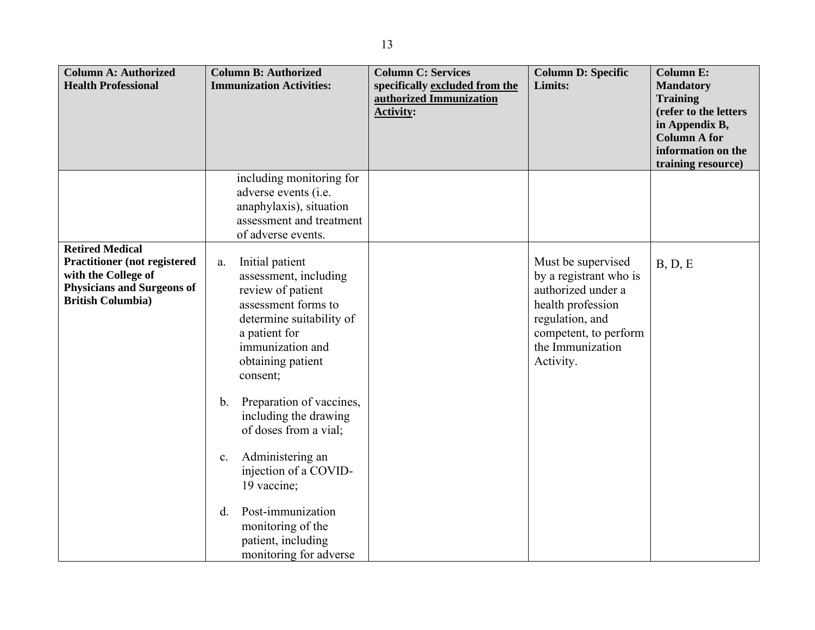| <b>Column A: Authorized</b>         | <b>Column B: Authorized</b>               | <b>Column C: Services</b>      | <b>Column D: Specific</b> | <b>Column E:</b>                      |
|-------------------------------------|-------------------------------------------|--------------------------------|---------------------------|---------------------------------------|
| <b>Health Professional</b>          | <b>Immunization Activities:</b>           | specifically excluded from the | Limits:                   | <b>Mandatory</b>                      |
|                                     |                                           | authorized Immunization        |                           | <b>Training</b>                       |
|                                     |                                           | <b>Activity:</b>               |                           | (refer to the letters                 |
|                                     |                                           |                                |                           | in Appendix B,<br><b>Column A for</b> |
|                                     |                                           |                                |                           | information on the                    |
|                                     |                                           |                                |                           | training resource)                    |
|                                     | including monitoring for                  |                                |                           |                                       |
|                                     | adverse events (i.e.                      |                                |                           |                                       |
|                                     | anaphylaxis), situation                   |                                |                           |                                       |
|                                     | assessment and treatment                  |                                |                           |                                       |
|                                     | of adverse events.                        |                                |                           |                                       |
| <b>Retired Medical</b>              |                                           |                                |                           |                                       |
| <b>Practitioner</b> (not registered | Initial patient<br>a.                     |                                | Must be supervised        | B, D, E                               |
| with the College of                 | assessment, including                     |                                | by a registrant who is    |                                       |
| <b>Physicians and Surgeons of</b>   | review of patient                         |                                | authorized under a        |                                       |
| <b>British Columbia)</b>            | assessment forms to                       |                                | health profession         |                                       |
|                                     | determine suitability of                  |                                | regulation, and           |                                       |
|                                     | a patient for                             |                                | competent, to perform     |                                       |
|                                     | immunization and                          |                                | the Immunization          |                                       |
|                                     | obtaining patient                         |                                | Activity.                 |                                       |
|                                     | consent;                                  |                                |                           |                                       |
|                                     |                                           |                                |                           |                                       |
|                                     | Preparation of vaccines,<br>$\mathbf b$ . |                                |                           |                                       |
|                                     | including the drawing                     |                                |                           |                                       |
|                                     | of doses from a vial;                     |                                |                           |                                       |
|                                     |                                           |                                |                           |                                       |
|                                     | Administering an<br>c.                    |                                |                           |                                       |
|                                     | injection of a COVID-                     |                                |                           |                                       |
|                                     | 19 vaccine;                               |                                |                           |                                       |
|                                     |                                           |                                |                           |                                       |
|                                     | Post-immunization<br>d.                   |                                |                           |                                       |
|                                     | monitoring of the                         |                                |                           |                                       |
|                                     | patient, including                        |                                |                           |                                       |
|                                     | monitoring for adverse                    |                                |                           |                                       |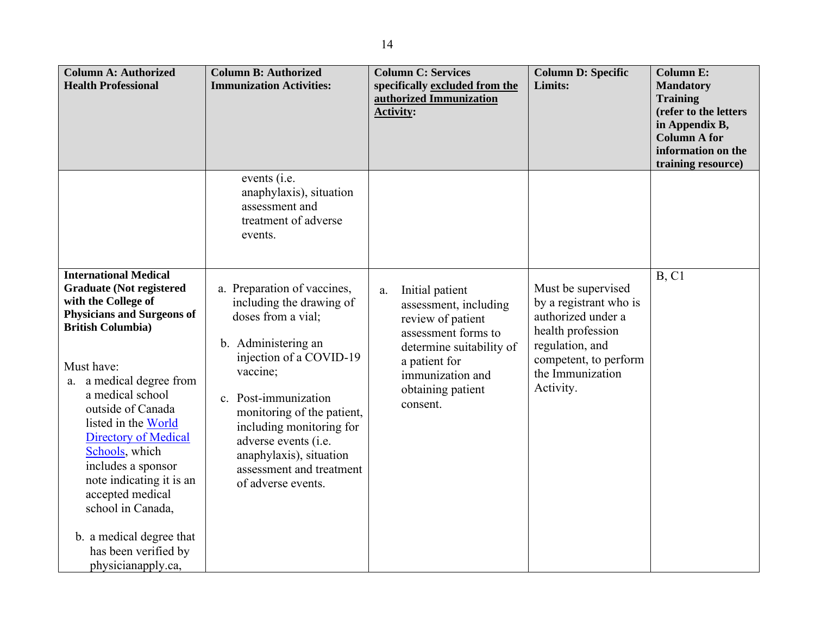| <b>Column A: Authorized</b><br><b>Health Professional</b>                                                                                                                                                                                                                                                                                                                                                                                                                                 | <b>Column B: Authorized</b><br><b>Immunization Activities:</b>                                                                                                                                                                                                                                                                     | <b>Column C: Services</b><br>specifically excluded from the<br>authorized Immunization<br><b>Activity:</b>                                                                                   | <b>Column D: Specific</b><br>Limits:                                                                                                                                 | <b>Column E:</b><br><b>Mandatory</b><br><b>Training</b><br>(refer to the letters<br>in Appendix B,<br><b>Column A for</b><br>information on the<br>training resource) |
|-------------------------------------------------------------------------------------------------------------------------------------------------------------------------------------------------------------------------------------------------------------------------------------------------------------------------------------------------------------------------------------------------------------------------------------------------------------------------------------------|------------------------------------------------------------------------------------------------------------------------------------------------------------------------------------------------------------------------------------------------------------------------------------------------------------------------------------|----------------------------------------------------------------------------------------------------------------------------------------------------------------------------------------------|----------------------------------------------------------------------------------------------------------------------------------------------------------------------|-----------------------------------------------------------------------------------------------------------------------------------------------------------------------|
|                                                                                                                                                                                                                                                                                                                                                                                                                                                                                           | events ( <i>i.e.</i><br>anaphylaxis), situation<br>assessment and<br>treatment of adverse<br>events.                                                                                                                                                                                                                               |                                                                                                                                                                                              |                                                                                                                                                                      |                                                                                                                                                                       |
| <b>International Medical</b><br><b>Graduate (Not registered)</b><br>with the College of<br><b>Physicians and Surgeons of</b><br><b>British Columbia</b> )<br>Must have:<br>a. a medical degree from<br>a medical school<br>outside of Canada<br>listed in the World<br><b>Directory of Medical</b><br>Schools, which<br>includes a sponsor<br>note indicating it is an<br>accepted medical<br>school in Canada,<br>b. a medical degree that<br>has been verified by<br>physicianapply.ca, | a. Preparation of vaccines,<br>including the drawing of<br>doses from a vial;<br>b. Administering an<br>injection of a COVID-19<br>vaccine;<br>c. Post-immunization<br>monitoring of the patient,<br>including monitoring for<br>adverse events (i.e.<br>anaphylaxis), situation<br>assessment and treatment<br>of adverse events. | Initial patient<br>a.<br>assessment, including<br>review of patient<br>assessment forms to<br>determine suitability of<br>a patient for<br>immunization and<br>obtaining patient<br>consent. | Must be supervised<br>by a registrant who is<br>authorized under a<br>health profession<br>regulation, and<br>competent, to perform<br>the Immunization<br>Activity. | B, C1                                                                                                                                                                 |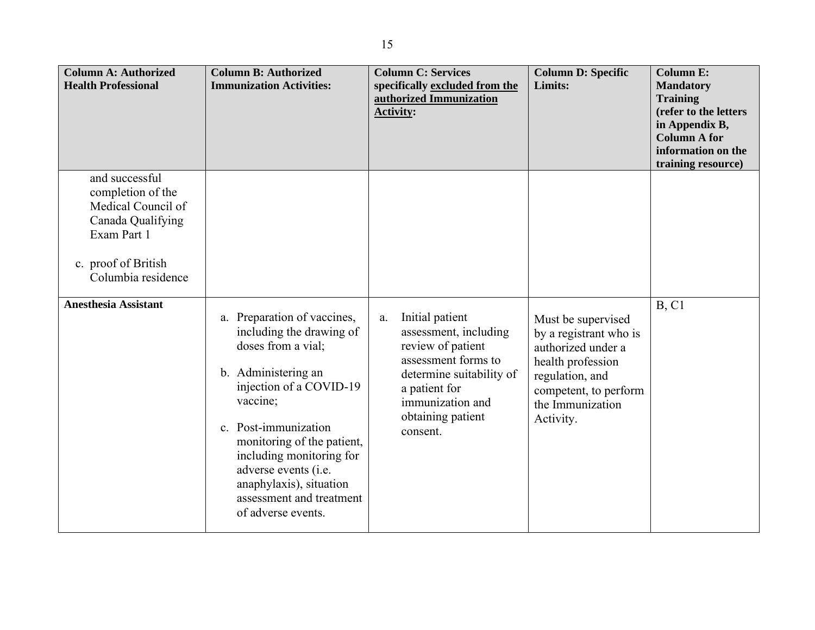| <b>Column A: Authorized</b><br><b>Health Professional</b>                                                                                  | <b>Column B: Authorized</b><br><b>Immunization Activities:</b>                                                                                                                                                                                                                                                                     | <b>Column C: Services</b><br>specifically excluded from the<br>authorized Immunization<br><b>Activity:</b>                                                                                   | <b>Column D: Specific</b><br>Limits:                                                                                                                                 | <b>Column E:</b><br><b>Mandatory</b><br><b>Training</b><br>(refer to the letters<br>in Appendix B,<br><b>Column A for</b><br>information on the<br>training resource) |
|--------------------------------------------------------------------------------------------------------------------------------------------|------------------------------------------------------------------------------------------------------------------------------------------------------------------------------------------------------------------------------------------------------------------------------------------------------------------------------------|----------------------------------------------------------------------------------------------------------------------------------------------------------------------------------------------|----------------------------------------------------------------------------------------------------------------------------------------------------------------------|-----------------------------------------------------------------------------------------------------------------------------------------------------------------------|
| and successful<br>completion of the<br>Medical Council of<br>Canada Qualifying<br>Exam Part 1<br>c. proof of British<br>Columbia residence |                                                                                                                                                                                                                                                                                                                                    |                                                                                                                                                                                              |                                                                                                                                                                      |                                                                                                                                                                       |
| <b>Anesthesia Assistant</b>                                                                                                                | a. Preparation of vaccines,<br>including the drawing of<br>doses from a vial;<br>b. Administering an<br>injection of a COVID-19<br>vaccine;<br>c. Post-immunization<br>monitoring of the patient,<br>including monitoring for<br>adverse events (i.e.<br>anaphylaxis), situation<br>assessment and treatment<br>of adverse events. | Initial patient<br>a.<br>assessment, including<br>review of patient<br>assessment forms to<br>determine suitability of<br>a patient for<br>immunization and<br>obtaining patient<br>consent. | Must be supervised<br>by a registrant who is<br>authorized under a<br>health profession<br>regulation, and<br>competent, to perform<br>the Immunization<br>Activity. | B, C1                                                                                                                                                                 |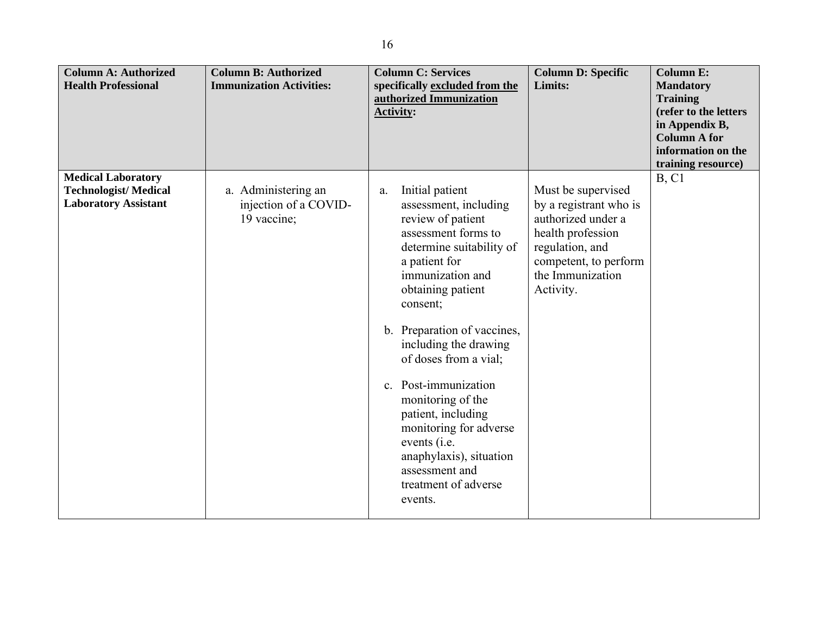| <b>Column A: Authorized</b><br><b>Health Professional</b>                               | <b>Column B: Authorized</b><br><b>Immunization Activities:</b> | <b>Column C: Services</b><br>specifically excluded from the<br>authorized Immunization<br><b>Activity:</b>                                                                                                                                                                                                                                                                                                                                                                 | <b>Column D: Specific</b><br>Limits:                                                                                                                                 | <b>Column E:</b><br><b>Mandatory</b><br><b>Training</b><br>(refer to the letters<br>in Appendix B,<br><b>Column A for</b><br>information on the<br>training resource) |
|-----------------------------------------------------------------------------------------|----------------------------------------------------------------|----------------------------------------------------------------------------------------------------------------------------------------------------------------------------------------------------------------------------------------------------------------------------------------------------------------------------------------------------------------------------------------------------------------------------------------------------------------------------|----------------------------------------------------------------------------------------------------------------------------------------------------------------------|-----------------------------------------------------------------------------------------------------------------------------------------------------------------------|
| <b>Medical Laboratory</b><br><b>Technologist/Medical</b><br><b>Laboratory Assistant</b> | a. Administering an<br>injection of a COVID-<br>19 vaccine;    | Initial patient<br>a.<br>assessment, including<br>review of patient<br>assessment forms to<br>determine suitability of<br>a patient for<br>immunization and<br>obtaining patient<br>consent;<br>b. Preparation of vaccines,<br>including the drawing<br>of doses from a vial;<br>c. Post-immunization<br>monitoring of the<br>patient, including<br>monitoring for adverse<br>events (i.e.<br>anaphylaxis), situation<br>assessment and<br>treatment of adverse<br>events. | Must be supervised<br>by a registrant who is<br>authorized under a<br>health profession<br>regulation, and<br>competent, to perform<br>the Immunization<br>Activity. | B, C1                                                                                                                                                                 |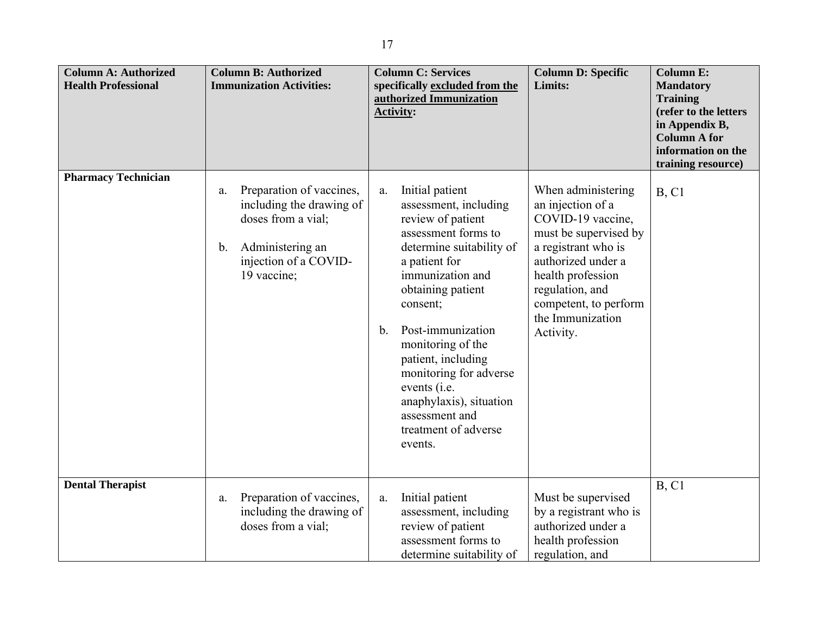| <b>Column A: Authorized</b><br><b>Health Professional</b> | <b>Column B: Authorized</b><br><b>Immunization Activities:</b>                                                                                                | <b>Column C: Services</b><br>specifically excluded from the<br>authorized Immunization<br><b>Activity:</b>                                                                                                                                                                                                                                                                                   | <b>Column D: Specific</b><br>Limits:                                                                                                                                                                                                 | <b>Column E:</b><br><b>Mandatory</b><br><b>Training</b><br>(refer to the letters<br>in Appendix B,<br><b>Column A for</b><br>information on the<br>training resource) |
|-----------------------------------------------------------|---------------------------------------------------------------------------------------------------------------------------------------------------------------|----------------------------------------------------------------------------------------------------------------------------------------------------------------------------------------------------------------------------------------------------------------------------------------------------------------------------------------------------------------------------------------------|--------------------------------------------------------------------------------------------------------------------------------------------------------------------------------------------------------------------------------------|-----------------------------------------------------------------------------------------------------------------------------------------------------------------------|
| <b>Pharmacy Technician</b>                                | Preparation of vaccines,<br>a.<br>including the drawing of<br>doses from a vial;<br>Administering an<br>$\mathbf b$ .<br>injection of a COVID-<br>19 vaccine; | Initial patient<br>a.<br>assessment, including<br>review of patient<br>assessment forms to<br>determine suitability of<br>a patient for<br>immunization and<br>obtaining patient<br>consent;<br>Post-immunization<br>b.<br>monitoring of the<br>patient, including<br>monitoring for adverse<br>events (i.e.<br>anaphylaxis), situation<br>assessment and<br>treatment of adverse<br>events. | When administering<br>an injection of a<br>COVID-19 vaccine,<br>must be supervised by<br>a registrant who is<br>authorized under a<br>health profession<br>regulation, and<br>competent, to perform<br>the Immunization<br>Activity. | B, C1                                                                                                                                                                 |
| <b>Dental Therapist</b>                                   | Preparation of vaccines,<br>a.<br>including the drawing of<br>doses from a vial;                                                                              | Initial patient<br>a.<br>assessment, including<br>review of patient<br>assessment forms to<br>determine suitability of                                                                                                                                                                                                                                                                       | Must be supervised<br>by a registrant who is<br>authorized under a<br>health profession<br>regulation, and                                                                                                                           | <b>B</b> , C1                                                                                                                                                         |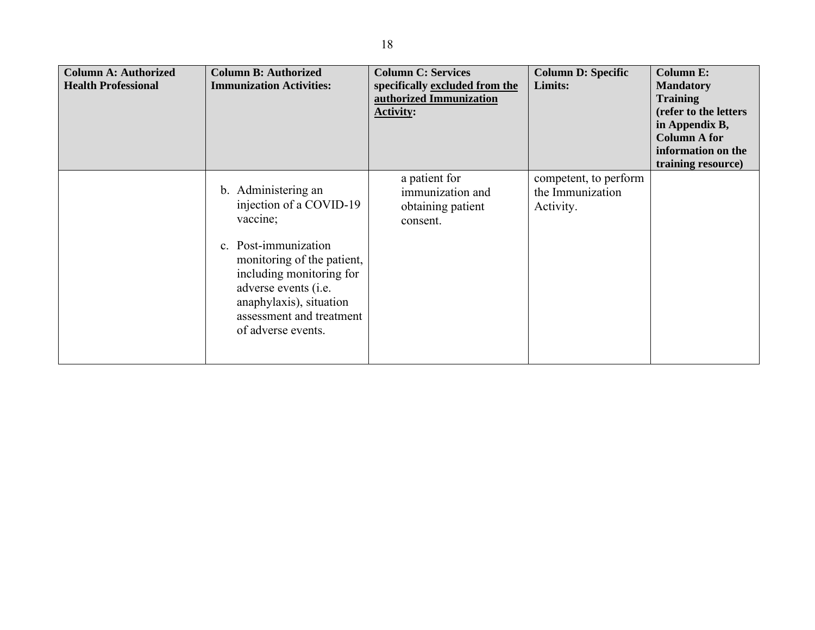| <b>Column A: Authorized</b><br><b>Health Professional</b> | <b>Column B: Authorized</b><br><b>Immunization Activities:</b>                                                                                                                                                                                    | <b>Column C: Services</b><br>specifically excluded from the<br>authorized Immunization<br><b>Activity:</b> | <b>Column D: Specific</b><br>Limits:                   | <b>Column E:</b><br><b>Mandatory</b><br><b>Training</b><br>(refer to the letters<br>in Appendix B,<br><b>Column A for</b><br>information on the<br>training resource) |
|-----------------------------------------------------------|---------------------------------------------------------------------------------------------------------------------------------------------------------------------------------------------------------------------------------------------------|------------------------------------------------------------------------------------------------------------|--------------------------------------------------------|-----------------------------------------------------------------------------------------------------------------------------------------------------------------------|
|                                                           | b. Administering an<br>injection of a COVID-19<br>vaccine;<br>c. Post-immunization<br>monitoring of the patient,<br>including monitoring for<br>adverse events (i.e.<br>anaphylaxis), situation<br>assessment and treatment<br>of adverse events. | a patient for<br>immunization and<br>obtaining patient<br>consent.                                         | competent, to perform<br>the Immunization<br>Activity. |                                                                                                                                                                       |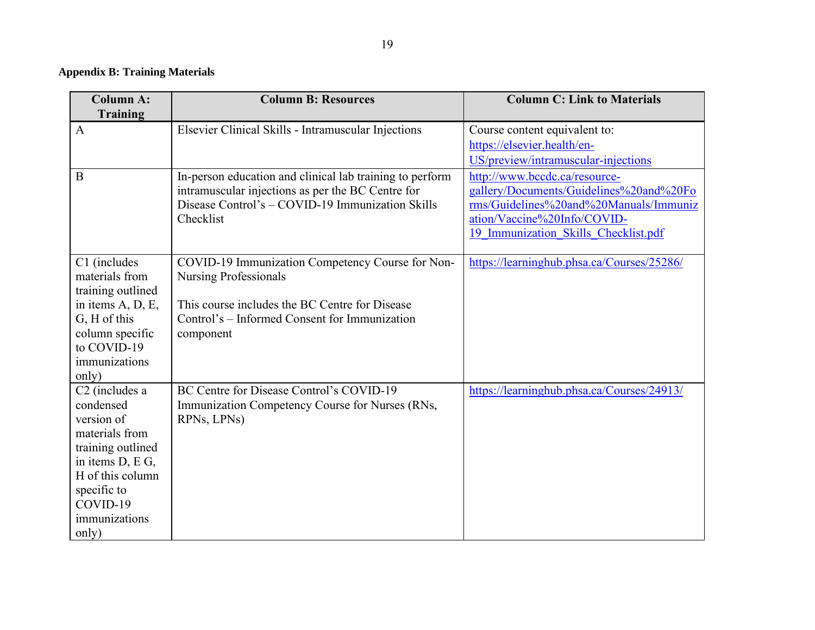## **Appendix B: Training Materials**

| <b>Column A:</b><br><b>Training</b>                                                                                                                                                       | <b>Column B: Resources</b>                                                                                                                                                                       | <b>Column C: Link to Materials</b>                                                                                                                                                        |
|-------------------------------------------------------------------------------------------------------------------------------------------------------------------------------------------|--------------------------------------------------------------------------------------------------------------------------------------------------------------------------------------------------|-------------------------------------------------------------------------------------------------------------------------------------------------------------------------------------------|
| A                                                                                                                                                                                         | Elsevier Clinical Skills - Intramuscular Injections                                                                                                                                              | Course content equivalent to:<br>https://elsevier.health/en-<br>US/preview/intramuscular-injections                                                                                       |
| B                                                                                                                                                                                         | In-person education and clinical lab training to perform<br>intramuscular injections as per the BC Centre for<br>Disease Control's - COVID-19 Immunization Skills<br>Checklist                   | http://www.bccdc.ca/resource-<br>gallery/Documents/Guidelines%20and%20Fo<br>rms/Guidelines%20and%20Manuals/Immuniz<br>ation/Vaccine%20Info/COVID-<br>19 Immunization Skills Checklist.pdf |
| C1 (includes<br>materials from<br>training outlined<br>in items A, D, E,<br>G, H of this<br>column specific<br>to COVID-19<br>immunizations<br>only)                                      | COVID-19 Immunization Competency Course for Non-<br><b>Nursing Professionals</b><br>This course includes the BC Centre for Disease<br>Control's – Informed Consent for Immunization<br>component | https://learninghub.phsa.ca/Courses/25286/                                                                                                                                                |
| C <sub>2</sub> (includes a<br>condensed<br>version of<br>materials from<br>training outlined<br>in items D, E G,<br>H of this column<br>specific to<br>COVID-19<br>immunizations<br>only) | BC Centre for Disease Control's COVID-19<br>Immunization Competency Course for Nurses (RNs,<br>RPNs, LPNs)                                                                                       | https://learninghub.phsa.ca/Courses/24913/                                                                                                                                                |